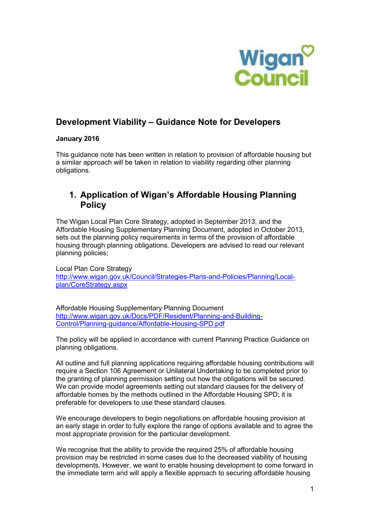

# **Development Viability – Guidance Note for Developers**

### **January 2016**

This guidance note has been written in relation to provision of affordable housing but a similar approach will be taken in relation to viability regarding other planning obligations.

### **1. Application of Wigan's Affordable Housing Planning Policy**

The Wigan Local Plan Core Strategy, adopted in September 2013, and the Affordable Housing Supplementary Planning Document, adopted in October 2013, sets out the planning policy requirements in terms of the provision of affordable housing through planning obligations. Developers are advised to read our relevant planning policies;

Local Plan Core Strategy http://www.wigan.gov.uk/Council/Strategies-Plans-and-Policies/Planning/Localplan/CoreStrategy.aspx

Affordable Housing Supplementary Planning Document http://www.wigan.gov.uk/Docs/PDF/Resident/Planning-and-Building-Control/Planning-guidance/Affordable-Housing-SPD.pdf

The policy will be applied in accordance with current Planning Practice Guidance on planning obligations.

All outline and full planning applications requiring affordable housing contributions will require a Section 106 Agreement or Unilateral Undertaking to be completed prior to the granting of planning permission setting out how the obligations will be secured. We can provide model agreements setting out standard clauses for the delivery of affordable homes by the methods outlined in the Affordable Housing SPD; it is preferable for developers to use these standard clauses.

We encourage developers to begin negotiations on affordable housing provision at an early stage in order to fully explore the range of options available and to agree the most appropriate provision for the particular development.

We recognise that the ability to provide the required 25% of affordable housing provision may be restricted in some cases due to the decreased viability of housing developments. However, we want to enable housing development to come forward in the immediate term and will apply a flexible approach to securing affordable housing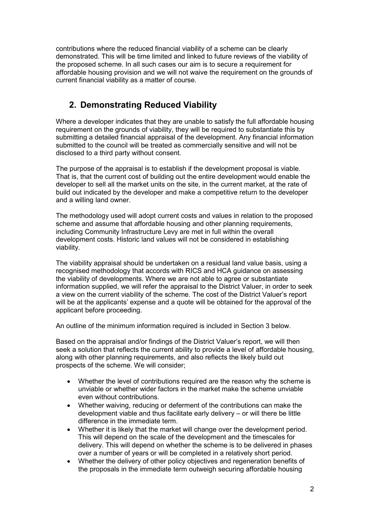contributions where the reduced financial viability of a scheme can be clearly demonstrated. This will be time limited and linked to future reviews of the viability of the proposed scheme. In all such cases our aim is to secure a requirement for affordable housing provision and we will not waive the requirement on the grounds of current financial viability as a matter of course.

## **2. Demonstrating Reduced Viability**

Where a developer indicates that they are unable to satisfy the full affordable housing requirement on the grounds of viability, they will be required to substantiate this by submitting a detailed financial appraisal of the development. Any financial information submitted to the council will be treated as commercially sensitive and will not be disclosed to a third party without consent.

The purpose of the appraisal is to establish if the development proposal is viable. That is, that the current cost of building out the entire development would enable the developer to sell all the market units on the site, in the current market, at the rate of build out indicated by the developer and make a competitive return to the developer and a willing land owner.

The methodology used will adopt current costs and values in relation to the proposed scheme and assume that affordable housing and other planning requirements, including Community Infrastructure Levy are met in full within the overall development costs. Historic land values will not be considered in establishing viability.

The viability appraisal should be undertaken on a residual land value basis, using a recognised methodology that accords with RICS and HCA guidance on assessing the viability of developments. Where we are not able to agree or substantiate information supplied, we will refer the appraisal to the District Valuer, in order to seek a view on the current viability of the scheme. The cost of the District Valuer's report will be at the applicants' expense and a quote will be obtained for the approval of the applicant before proceeding.

An outline of the minimum information required is included in Section 3 below.

Based on the appraisal and/or findings of the District Valuer's report, we will then seek a solution that reflects the current ability to provide a level of affordable housing, along with other planning requirements, and also reflects the likely build out prospects of the scheme. We will consider;

- Whether the level of contributions required are the reason why the scheme is unviable or whether wider factors in the market make the scheme unviable even without contributions.
- Whether waiving, reducing or deferment of the contributions can make the development viable and thus facilitate early delivery – or will there be little difference in the immediate term.
- Whether it is likely that the market will change over the development period. This will depend on the scale of the development and the timescales for delivery. This will depend on whether the scheme is to be delivered in phases over a number of years or will be completed in a relatively short period.
- Whether the delivery of other policy objectives and regeneration benefits of the proposals in the immediate term outweigh securing affordable housing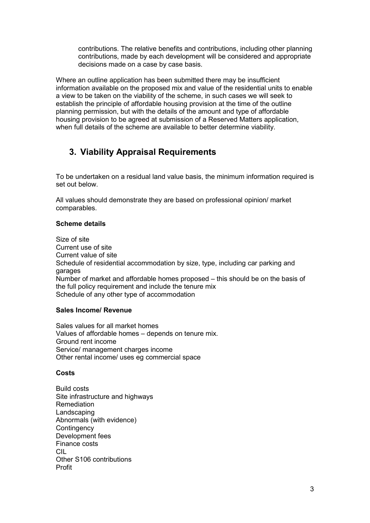contributions. The relative benefits and contributions, including other planning contributions, made by each development will be considered and appropriate decisions made on a case by case basis.

Where an outline application has been submitted there may be insufficient information available on the proposed mix and value of the residential units to enable a view to be taken on the viability of the scheme, in such cases we will seek to establish the principle of affordable housing provision at the time of the outline planning permission, but with the details of the amount and type of affordable housing provision to be agreed at submission of a Reserved Matters application, when full details of the scheme are available to better determine viability.

# **3. Viability Appraisal Requirements**

To be undertaken on a residual land value basis, the minimum information required is set out below.

All values should demonstrate they are based on professional opinion/ market comparables.

### **Scheme details**

Size of site Current use of site Current value of site Schedule of residential accommodation by size, type, including car parking and garages Number of market and affordable homes proposed – this should be on the basis of the full policy requirement and include the tenure mix Schedule of any other type of accommodation

#### **Sales Income/ Revenue**

Sales values for all market homes Values of affordable homes – depends on tenure mix. Ground rent income Service/ management charges income Other rental income/ uses eg commercial space

#### **Costs**

Build costs Site infrastructure and highways Remediation Landscaping Abnormals (with evidence) **Contingency** Development fees Finance costs CIL Other S106 contributions Profit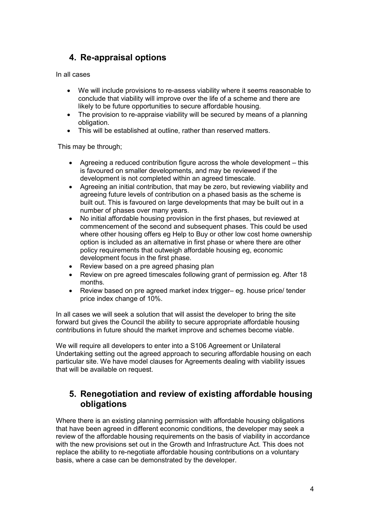# **4. Re-appraisal options**

In all cases

- We will include provisions to re-assess viability where it seems reasonable to conclude that viability will improve over the life of a scheme and there are likely to be future opportunities to secure affordable housing.
- The provision to re-appraise viability will be secured by means of a planning obligation.
- This will be established at outline, rather than reserved matters.

This may be through;

- Agreeing a reduced contribution figure across the whole development this is favoured on smaller developments, and may be reviewed if the development is not completed within an agreed timescale.
- Agreeing an initial contribution, that may be zero, but reviewing viability and agreeing future levels of contribution on a phased basis as the scheme is built out. This is favoured on large developments that may be built out in a number of phases over many years.
- No initial affordable housing provision in the first phases, but reviewed at commencement of the second and subsequent phases. This could be used where other housing offers eg Help to Buy or other low cost home ownership option is included as an alternative in first phase or where there are other policy requirements that outweigh affordable housing eg, economic development focus in the first phase.
- Review based on a pre agreed phasing plan
- Review on pre agreed timescales following grant of permission eg. After 18 months.
- Review based on pre agreed market index trigger– eg. house price/ tender price index change of 10%.

In all cases we will seek a solution that will assist the developer to bring the site forward but gives the Council the ability to secure appropriate affordable housing contributions in future should the market improve and schemes become viable.

We will require all developers to enter into a S106 Agreement or Unilateral Undertaking setting out the agreed approach to securing affordable housing on each particular site. We have model clauses for Agreements dealing with viability issues that will be available on request.

### **5. Renegotiation and review of existing affordable housing obligations**

Where there is an existing planning permission with affordable housing obligations that have been agreed in different economic conditions, the developer may seek a review of the affordable housing requirements on the basis of viability in accordance with the new provisions set out in the Growth and Infrastructure Act. This does not replace the ability to re-negotiate affordable housing contributions on a voluntary basis, where a case can be demonstrated by the developer.